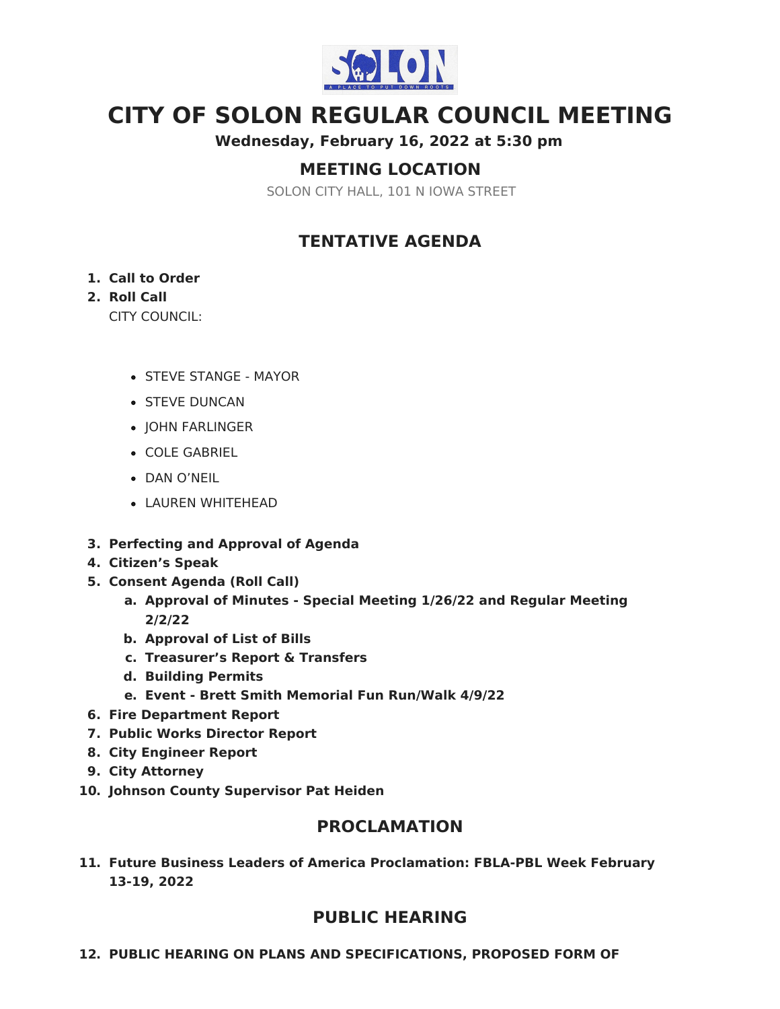

# **CITY OF SOLON REGULAR COUNCIL MEETING**

**Wednesday, February 16, 2022 at 5:30 pm**

# **MEETING LOCATION**

SOLON CITY HALL, 101 N IOWA STREET

# **TENTATIVE AGENDA**

#### **1. Call to Order**

### **2. Roll Call**

CITY COUNCIL:

- STEVE STANGE MAYOR
- **STEVE DUNCAN**
- JOHN FARLINGER
- COLE GABRIEL
- DAN O'NEIL
- LAUREN WHITEHEAD
- **3. Perfecting and Approval of Agenda**
- **4. Citizen's Speak**
- **5. Consent Agenda (Roll Call)**
	- **a. Approval of Minutes - Special Meeting 1/26/22 and Regular Meeting 2/2/22**
	- **b. Approval of List of Bills**
	- **c. Treasurer's Report & Transfers**
	- **d. Building Permits**
	- **e. Event - Brett Smith Memorial Fun Run/Walk 4/9/22**
- **6. Fire Department Report**
- **7. Public Works Director Report**
- **8. City Engineer Report**
- **9. City Attorney**
- **10. Johnson County Supervisor Pat Heiden**

## **PROCLAMATION**

**11. Future Business Leaders of America Proclamation: FBLA-PBL Week February 13-19, 2022**

## **PUBLIC HEARING**

**12. PUBLIC HEARING ON PLANS AND SPECIFICATIONS, PROPOSED FORM OF**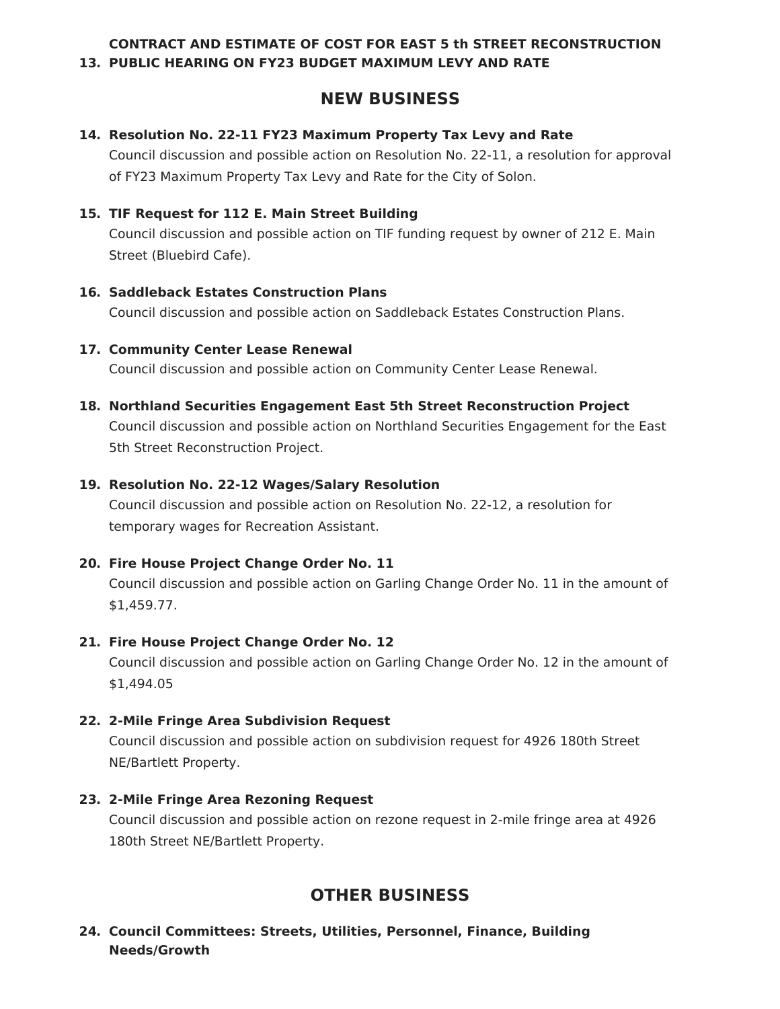#### **CONTRACT AND ESTIMATE OF COST FOR EAST 5 th STREET RECONSTRUCTION 13. PUBLIC HEARING ON FY23 BUDGET MAXIMUM LEVY AND RATE**

# **NEW BUSINESS**

#### **14. Resolution No. 22-11 FY23 Maximum Property Tax Levy and Rate**

Council discussion and possible action on Resolution No. 22-11, a resolution for approval of FY23 Maximum Property Tax Levy and Rate for the City of Solon.

#### **15. TIF Request for 112 E. Main Street Building**

Council discussion and possible action on TIF funding request by owner of 212 E. Main Street (Bluebird Cafe).

#### **16. Saddleback Estates Construction Plans**

Council discussion and possible action on Saddleback Estates Construction Plans.

#### **17. Community Center Lease Renewal**

Council discussion and possible action on Community Center Lease Renewal.

**18. Northland Securities Engagement East 5th Street Reconstruction Project** Council discussion and possible action on Northland Securities Engagement for the East 5th Street Reconstruction Project.

#### **19. Resolution No. 22-12 Wages/Salary Resolution**

Council discussion and possible action on Resolution No. 22-12, a resolution for temporary wages for Recreation Assistant.

#### **20. Fire House Project Change Order No. 11**

Council discussion and possible action on Garling Change Order No. 11 in the amount of \$1,459.77.

#### **21. Fire House Project Change Order No. 12**

Council discussion and possible action on Garling Change Order No. 12 in the amount of \$1,494.05

#### **22. 2-Mile Fringe Area Subdivision Request**

Council discussion and possible action on subdivision request for 4926 180th Street NE/Bartlett Property.

#### **23. 2-Mile Fringe Area Rezoning Request**

Council discussion and possible action on rezone request in 2-mile fringe area at 4926 180th Street NE/Bartlett Property.

# **OTHER BUSINESS**

#### **24. Council Committees: Streets, Utilities, Personnel, Finance, Building Needs/Growth**